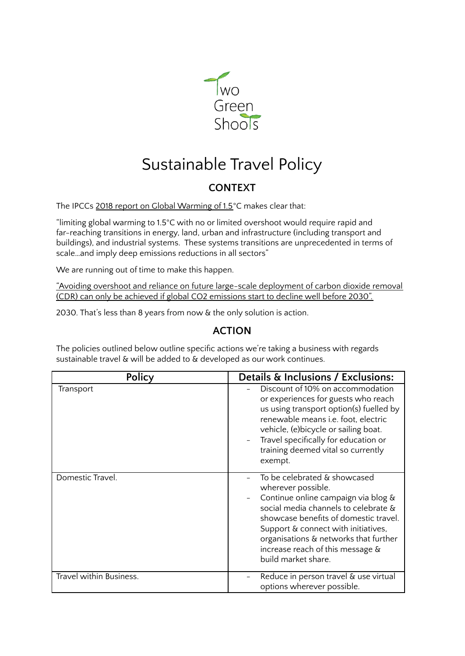

## Sustainable Travel Policy

## **CONTEXT**

The IPCCs 2018 report on Global [Warming](https://www.ipcc.ch/sr15/chapter/spm/) of 1.5°C makes clear that:

"limiting global warming to 1.5°C with no or limited overshoot would require rapid and far-reaching transitions in energy, land, urban and infrastructure (including transport and buildings), and industrial systems. These systems transitions are unprecedented in terms of scale…and imply deep emissions reductions in all sectors"

We are running out of time to make this happen.

"Avoiding overshoot and reliance on future large-scale [deployment](https://www.ipcc.ch/site/assets/uploads/sites/2/2019/06/SR15_Headline-statements.pdf) of carbon dioxide removal (CDR) can only be achieved if global CO2 [emissions](https://www.ipcc.ch/site/assets/uploads/sites/2/2019/06/SR15_Headline-statements.pdf) start to decline well before 2030".

2030. That's less than 8 years from now & the only solution is action.

## **ACTION**

The policies outlined below outline specific actions we're taking a business with regards sustainable travel & will be added to & developed as our work continues.

| Policy                  | Details & Inclusions / Exclusions:                                                                                                                                                                                                                                                                                    |
|-------------------------|-----------------------------------------------------------------------------------------------------------------------------------------------------------------------------------------------------------------------------------------------------------------------------------------------------------------------|
| Transport               | Discount of 10% on accommodation<br>or experiences for guests who reach<br>us using transport option(s) fuelled by<br>renewable means i.e. foot, electric<br>vehicle, (e) bicycle or sailing boat.<br>Travel specifically for education or<br>training deemed vital so currently<br>exempt.                           |
| Domestic Travel.        | To be celebrated & showcased<br>wherever possible.<br>Continue online campaign via blog &<br>social media channels to celebrate &<br>showcase benefits of domestic travel.<br>Support & connect with initiatives,<br>organisations & networks that further<br>increase reach of this message &<br>build market share. |
| Travel within Business. | Reduce in person travel & use virtual<br>options wherever possible.                                                                                                                                                                                                                                                   |